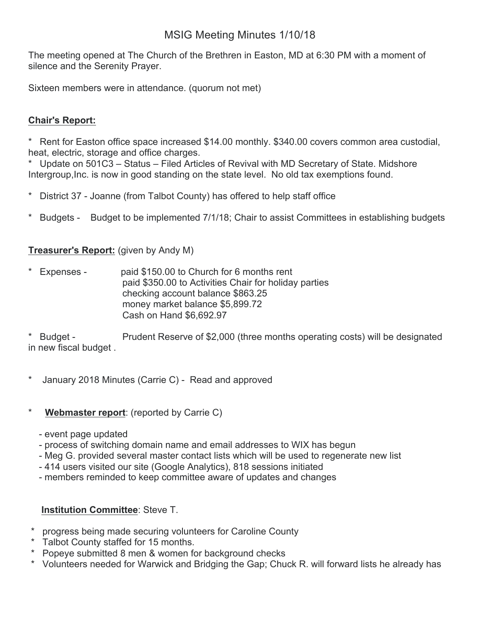# MSIG Meeting Minutes 1/10/18

The meeting opened at The Church of the Brethren in Easton, MD at 6:30 PM with a moment of silence and the Serenity Prayer.

Sixteen members were in attendance. (quorum not met)

## **Chair's Report:**

\* Rent for Easton office space increased \$14.00 monthly. \$340.00 covers common area custodial, heat, electric, storage and office charges.

\* Update on 501C3 – Status – Filed Articles of Revival with MD Secretary of State. Midshore Intergroup, Inc. is now in good standing on the state level. No old tax exemptions found.

- District 37 Joanne (from Talbot County) has offered to help staff office
- \* Budgets Budget to be implemented 7/1/18; Chair to assist Committees in establishing budgets

### **Treasurer's Report:** (given by Andy M)

Expenses - paid \$150.00 to Church for 6 months rent paid \$350.00 to Activities Chair for holiday parties checking account balance \$863.25 money market balance \$5,899.72 Cash on Hand \$6,692.97

Budget - Prudent Reserve of \$2,000 (three months operating costs) will be designated in new fiscal budget .

- January 2018 Minutes (Carrie C) Read and approved
- \* **Webmaster report**: (reported by Carrie C)
	- event page updated
	- process of switching domain name and email addresses to WIX has begun
	- Meg G. provided several master contact lists which will be used to regenerate new list
	- 414 users visited our site (Google Analytics), 818 sessions initiated
	- members reminded to keep committee aware of updates and changes

#### **Institution Committee**: Steve T.

- progress being made securing volunteers for Caroline County
- Talbot County staffed for 15 months.
- Popeye submitted 8 men & women for background checks
- \* Volunteers needed for Warwick and Bridging the Gap; Chuck R. will forward lists he already has